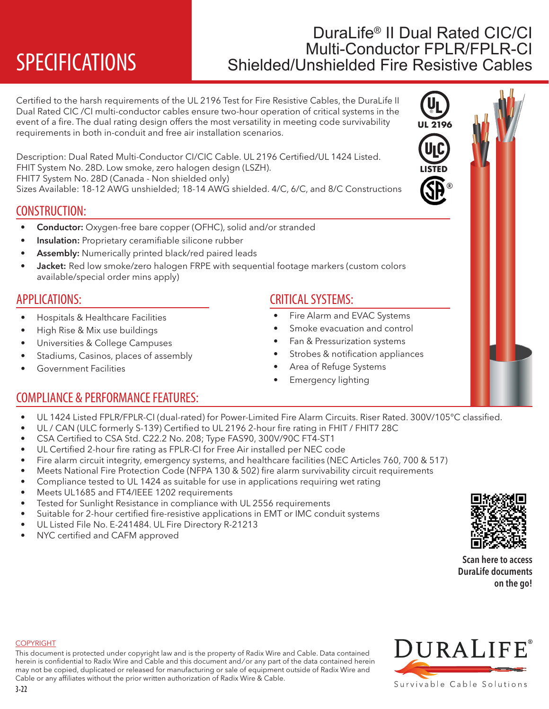# DuraLife<sup>®</sup> II Dual Rated CIC/CI<br>Multi-Conductor FPLR/FPLR-CI **SPECIFICATIONS** Shielded/Unshielded Fire Resistive Cables

Certified to the harsh requirements of the UL 2196 Test for Fire Resistive Cables, the DuraLife II Dual Rated CIC /CI multi-conductor cables ensure two-hour operation of critical systems in the event of a fire. The dual rating design offers the most versatility in meeting code survivability requirements in both in-conduit and free air installation scenarios.

Description: Dual Rated Multi-Conductor CI/CIC Cable. UL 2196 Certified/UL 1424 Listed. FHIT System No. 28D. Low smoke, zero halogen design (LSZH). FHIT7 System No. 28D (Canada - Non shielded only)

Sizes Available: 18-12 AWG unshielded; 18-14 AWG shielded. 4/C, 6/C, and 8/C Constructions

## CONSTRUCTION:

- Conductor: Oxygen-free bare copper (OFHC), solid and/or stranded
- Insulation: Proprietary ceramifiable silicone rubber
- Assembly: Numerically printed black/red paired leads
- Jacket: Red low smoke/zero halogen FRPE with sequential footage markers (custom colors available/special order mins apply)

## APPLICATIONS:

- Hospitals & Healthcare Facilities
- High Rise & Mix use buildings
- Universities & College Campuses
- Stadiums, Casinos, places of assembly
- Government Facilities

## CRITICAL SYSTEMS:

- Fire Alarm and EVAC Systems
- Smoke evacuation and control
- Fan & Pressurization systems
- Strobes & notification appliances
- Area of Refuge Systems
- **Emergency lighting**

## COMPLIANCE & PERFORMANCE FEATURES:

- UL 1424 Listed FPLR/FPLR-CI (dual-rated) for Power-Limited Fire Alarm Circuits. Riser Rated. 300V/105°C classified.
- UL / CAN (ULC formerly S-139) Certified to UL 2196 2-hour fire rating in FHIT / FHIT7 28C
- CSA Certified to CSA Std. C22.2 No. 208; Type FAS90, 300V/90C FT4-ST1
- UL Certified 2-hour fire rating as FPLR-CI for Free Air installed per NEC code
- Fire alarm circuit integrity, emergency systems, and healthcare facilities (NEC Articles 760, 700 & 517)
- Meets National Fire Protection Code (NFPA 130 & 502) fire alarm survivability circuit requirements
- Compliance tested to UL 1424 as suitable for use in applications requiring wet rating
- Meets UL1685 and FT4/IEEE 1202 requirements
- Tested for Sunlight Resistance in compliance with UL 2556 requirements
- Suitable for 2-hour certified fire-resistive applications in EMT or IMC conduit systems
- UL Listed File No. E-241484. UL Fire Directory R-21213
- NYC certified and CAFM approved



Scan here to access DuraLife documents on the go!

### **COPYRIGHT**

This document is protected under copyright law and is the property of Radix Wire and Cable. Data contained herein is confidential to Radix Wire and Cable and this document and / or any part of the data contained herein may not be copied, duplicated or released for manufacturing or sale of equipment outside of Radix Wire and Cable or any affiliates without the prior written authorization of Radix Wire & Cable.





**UL 2196**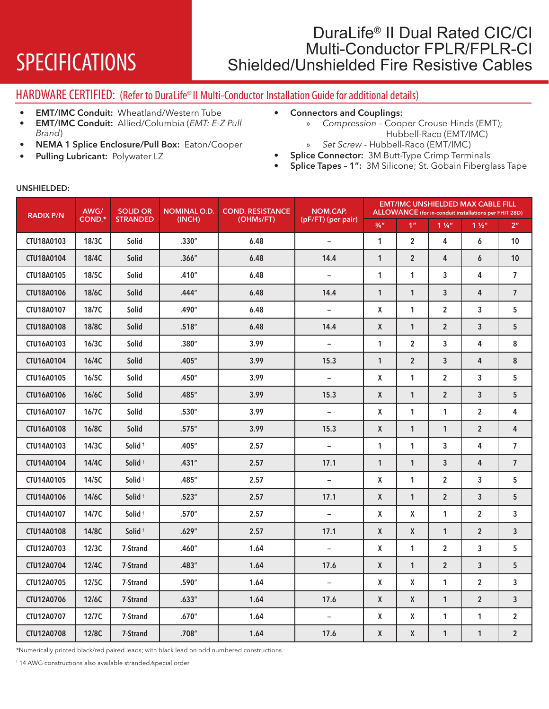# DuraLife<sup>®</sup> II Dual Rated CIC/CI<br>Multi-Conductor FPLR/FPLR-CI SPECIFICATIONS Shielded/Unshielded Fire Resistive Cables

## HARDWARE CERTIFIED: (Refer to DuraLife®II Multi-Conductor Installation Guide for additional details)

- EMT/IMC Conduit: Wheatland/Western Tube
- EMT/IMC Conduit: Allied/Columbia (*EMT: E-Z Pull Brand*)
- NEMA 1 Splice Enclosure/Pull Box: Eaton/Cooper
- Pulling Lubricant: Polywater LZ
- Connectors and Couplings:
	- » *Compression* Cooper Crouse-Hinds (EMT); Hubbell-Raco (EMT/IMC)
	- » *Set Screw* Hubbell-Raco (EMT/IMC)
- Splice Connector: 3M Butt-Type Crimp Terminals
- Splice Tapes 1": 3M Silicone; St. Gobain Fiberglass Tape

| <b>RADIX P/N</b>  | AWG/<br><b>COND.*</b> | <b>SOLID OR</b><br><b>STRANDED</b> | <b>NOMINAL O.D.</b><br>(INCH) | <b>COND. RESISTANCE</b><br>(OHMs/FT) | NOM.CAP.<br>(pF/FT) (per pair) | <b>EMT/IMC UNSHIELDED MAX CABLE FILL</b><br><b>ALLOWANCE</b> (for in-conduit installations per FHIT 28D) |                |                |                |                |  |
|-------------------|-----------------------|------------------------------------|-------------------------------|--------------------------------------|--------------------------------|----------------------------------------------------------------------------------------------------------|----------------|----------------|----------------|----------------|--|
|                   |                       |                                    |                               |                                      |                                | $\frac{3}{4}$ "                                                                                          | 1 <sup>n</sup> | $1\frac{1}{4}$ | $1\frac{1}{2}$ | 2 <sup>n</sup> |  |
| CTU18A0103        | 18/3C                 | Solid                              | .330''                        | 6.48                                 | $\overline{\phantom{a}}$       | $\mathbf{1}$                                                                                             | $\overline{2}$ | 4              | 6              | 10             |  |
| <b>CTU18A0104</b> | 18/4C                 | Solid                              | .366''                        | 6.48                                 | 14.4                           | $\mathbf{1}$                                                                                             | $\overline{2}$ | 4              | 6              | 10             |  |
| CTU18A0105        | 18/5C                 | <b>Solid</b>                       | .410''                        | 6.48                                 | $\overline{a}$                 | 1                                                                                                        | 1              | 3              | 4              | $\overline{7}$ |  |
| CTU18A0106        | 18/6C                 | Solid                              | .444"                         | 6.48                                 | 14.4                           | $\mathbf{1}$                                                                                             | $\mathbf{1}$   | $\overline{3}$ | $\overline{4}$ | $\overline{7}$ |  |
| CTU18A0107        | 18/7C                 | Solid                              | .490″                         | 6.48                                 | $\overline{\phantom{a}}$       | X                                                                                                        | 1              | $\overline{2}$ | 3              | 5              |  |
| CTU18A0108        | 18/8C                 | <b>Solid</b>                       | .518''                        | 6.48                                 | 14.4                           | $\mathsf{X}$                                                                                             | $\mathbf{1}$   | $\overline{2}$ | $\mathbf{3}$   | 5              |  |
| CTU16A0103        | 16/3C                 | Solid                              | .380''                        | 3.99                                 | $\overline{\phantom{a}}$       | $\mathbf{1}$                                                                                             | $\overline{2}$ | 3              | 4              | 8              |  |
| CTU16A0104        | 16/4C                 | Solid                              | .405''                        | 3.99                                 | 15.3                           | 1                                                                                                        | $\overline{2}$ | 3              | 4              | 8              |  |
| CTU16A0105        | 16/5C                 | Solid                              | .450''                        | 3.99                                 | $\overline{\phantom{a}}$       | X                                                                                                        | 1              | $\overline{2}$ | 3              | 5              |  |
| CTU16A0106        | 16/6C                 | <b>Solid</b>                       | .485''                        | 3.99                                 | 15.3                           | X                                                                                                        | $\mathbf{1}$   | $\overline{2}$ | $\mathbf{3}$   | 5              |  |
| CTU16A0107        | 16/7C                 | <b>Solid</b>                       | .530''                        | 3.99                                 | $\equiv$                       | X                                                                                                        | $\mathbf{1}$   | $\mathbf{1}$   | $\overline{2}$ | 4              |  |
| CTU16A0108        | 16/8C                 | <b>Solid</b>                       | .575''                        | 3.99                                 | 15.3                           | $\mathsf{X}$                                                                                             | $\mathbf{1}$   | $\mathbf{1}$   | $\overline{2}$ | 4              |  |
| CTU14A0103        | 14/3C                 | Solid <sup>+</sup>                 | .405''                        | 2.57                                 | $\overline{\phantom{a}}$       | $\mathbf{1}$                                                                                             | $\mathbf{1}$   | 3              | 4              | $\overline{7}$ |  |
| <b>CTU14A0104</b> | 14/4C                 | Solid <sup>+</sup>                 | .431''                        | 2.57                                 | 17.1                           | $\mathbf{1}$                                                                                             | $\mathbf{1}$   | $\overline{3}$ | 4              | $\overline{7}$ |  |
| <b>CTU14A0105</b> | 14/5C                 | Solid <sup>+</sup>                 | .485"                         | 2.57                                 | $\overline{\phantom{a}}$       | X                                                                                                        | 1              | $\overline{2}$ | 3              | 5              |  |
| CTU14A0106        | 14/6C                 | Solid <sup>+</sup>                 | .523''                        | 2.57                                 | 17.1                           | X                                                                                                        | $\mathbf{1}$   | $\overline{2}$ | 3              | 5              |  |
| CTU14A0107        | 14/7C                 | Solid <sup>+</sup>                 | .570''                        | 2.57                                 | $\equiv$                       | X                                                                                                        | X              | 1              | $\overline{2}$ | 3              |  |
| <b>CTU14A0108</b> | 14/8C                 | Solid <sup>+</sup>                 | .629''                        | 2.57                                 | 17.1                           | X                                                                                                        | X              | $\mathbf{1}$   | $\overline{2}$ | $\overline{3}$ |  |
| <b>CTU12A0703</b> | 12/3C                 | 7-Strand                           | .460"                         | 1.64                                 | $\overline{a}$                 | X                                                                                                        | $\mathbf{1}$   | $\overline{2}$ | 3              | 5              |  |
| CTU12A0704        | 12/4C                 | 7-Strand                           | .483''                        | 1.64                                 | 17.6                           | $\mathsf{X}$                                                                                             | $\mathbf{1}$   | $\overline{2}$ | $\mathbf{3}$   | 5              |  |
| CTU12A0705        | 12/5C                 | 7-Strand                           | .590''                        | 1.64                                 | $\equiv$                       | X                                                                                                        | X              | 1              | $\overline{2}$ | 3              |  |
| CTU12A0706        | 12/6C                 | 7-Strand                           | .633''                        | 1.64                                 | 17.6                           | $\mathsf{X}$                                                                                             | X              | $\mathbf{1}$   | $\overline{2}$ | $\overline{3}$ |  |
| <b>CTU12A0707</b> | 12/7C                 | 7-Strand                           | .670''                        | 1.64                                 | $\equiv$                       | X                                                                                                        | X              | $\mathbf{1}$   | $\mathbf{1}$   | $\overline{2}$ |  |
| CTU12A0708        | 12/8C                 | 7-Strand                           | .708''                        | 1.64                                 | 17.6                           | X                                                                                                        | X              | $\mathbf{1}$   | $\mathbf{1}$   | $\overline{2}$ |  |

### UNSHIELDED:

\*Numerically printed black/red paired leads; with black lead on odd numbered constructions

† 14 AWG constructions also available stranded /special order